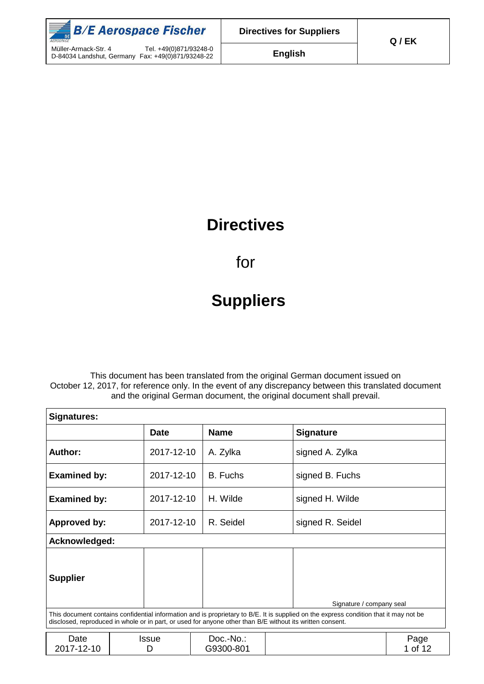

## **Directives**

for

# **Suppliers**

This document has been translated from the original German document issued on October 12, 2017, for reference only. In the event of any discrepancy between this translated document and the original German document, the original document shall prevail.

| <b>Signatures:</b>                                                                                                                                                                                                                                 |  |             |  |                        |  |                  |                 |
|----------------------------------------------------------------------------------------------------------------------------------------------------------------------------------------------------------------------------------------------------|--|-------------|--|------------------------|--|------------------|-----------------|
|                                                                                                                                                                                                                                                    |  | <b>Date</b> |  | <b>Name</b>            |  | <b>Signature</b> |                 |
| Author:                                                                                                                                                                                                                                            |  | 2017-12-10  |  | A. Zylka               |  | signed A. Zylka  |                 |
| <b>Examined by:</b>                                                                                                                                                                                                                                |  | 2017-12-10  |  | B. Fuchs               |  | signed B. Fuchs  |                 |
| <b>Examined by:</b>                                                                                                                                                                                                                                |  | 2017-12-10  |  | H. Wilde               |  | signed H. Wilde  |                 |
| <b>Approved by:</b>                                                                                                                                                                                                                                |  | 2017-12-10  |  | R. Seidel              |  | signed R. Seidel |                 |
| Acknowledged:                                                                                                                                                                                                                                      |  |             |  |                        |  |                  |                 |
| <b>Supplier</b><br>Signature / company seal                                                                                                                                                                                                        |  |             |  |                        |  |                  |                 |
| This document contains confidential information and is proprietary to B/E. It is supplied on the express condition that it may not be<br>disclosed, reproduced in whole or in part, or used for anyone other than B/E without its written consent. |  |             |  |                        |  |                  |                 |
| Date<br>2017-12-10                                                                                                                                                                                                                                 |  | Issue<br>D  |  | Doc.-No.:<br>G9300-801 |  |                  | Page<br>1 of 12 |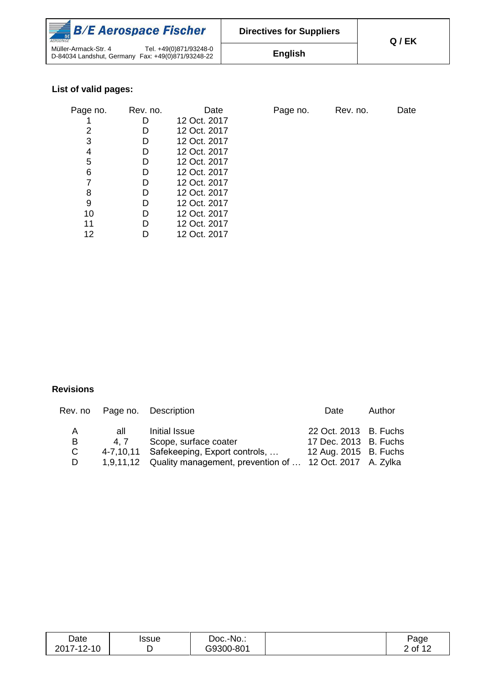| $\frac{1}{2}$ B/E Aerospace Fischer<br>AFROSPACE                                                    | <b>Directives for Suppliers</b> | Q/EK |
|-----------------------------------------------------------------------------------------------------|---------------------------------|------|
| Tel. +49(0)871/93248-0<br>Müller-Armack-Str. 4<br>D-84034 Landshut, Germany Fax: +49(0)871/93248-22 | <b>English</b>                  |      |

## **List of valid pages:**

| Page no. | Rev. no. | Date         |
|----------|----------|--------------|
|          | D        | 12 Oct. 2017 |
| 2        | D        | 12 Oct. 2017 |
| 3        | D        | 12 Oct. 2017 |
| 4        | D        | 12 Oct. 2017 |
| 5        | D        | 12 Oct. 2017 |
| 6        | D        | 12 Oct. 2017 |
| 7        | D        | 12 Oct. 2017 |
| 8        | D        | 12 Oct. 2017 |
| 9        | D        | 12 Oct. 2017 |
| 10       | D        | 12 Oct. 2017 |
| 11       | D        | 12 Oct. 2017 |
| 12       |          | 12 Oct. 2017 |

Page no. Rev. no. Date

#### **Revisions**

|    |     | Rev. no Page no. Description                                       | Date                  | Author |
|----|-----|--------------------------------------------------------------------|-----------------------|--------|
| A  | all | Initial Issue                                                      | 22 Oct. 2013 B. Fuchs |        |
| В  | 4.7 | Scope, surface coater                                              | 17 Dec. 2013 B. Fuchs |        |
| C. |     | 4-7,10,11 Safekeeping, Export controls,                            | 12 Aug. 2015 B. Fuchs |        |
| D  |     | 1,9,11,12 Quality management, prevention of  12 Oct. 2017 A. Zylka |                       |        |

| Date       | issue | Doc.-No.: | Page           |
|------------|-------|-----------|----------------|
| 2017-12-10 |       | G9300-801 | 2 of 12<br>╶╹┻ |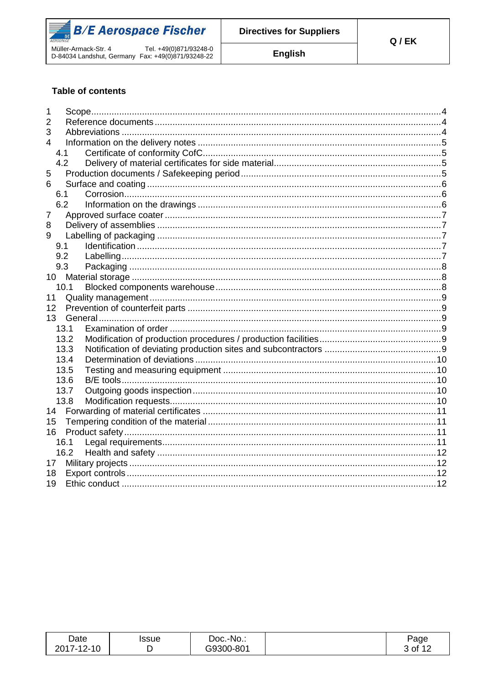

**English** 

#### **Table of contents**

| 1    |  |
|------|--|
| 2    |  |
| 3    |  |
| 4    |  |
| 4.1  |  |
| 4.2  |  |
| 5    |  |
| 6    |  |
| 6.1  |  |
| 6.2  |  |
| 7    |  |
| 8    |  |
| 9    |  |
| 9.1  |  |
| 9.2  |  |
| 9.3  |  |
| 10   |  |
| 10.1 |  |
| 11   |  |
| 12   |  |
| 13   |  |
| 13.1 |  |
| 13.2 |  |
| 13.3 |  |
| 13.4 |  |
| 13.5 |  |
| 13.6 |  |
| 13.7 |  |
| 13.8 |  |
| 14   |  |
| 15   |  |
| 16   |  |
| 16.1 |  |
| 16.2 |  |
| 17   |  |
| 18   |  |
| 19   |  |
|      |  |

| Date       | Issue | Doc.-No.: | Page    |
|------------|-------|-----------|---------|
| 2017-12-10 |       | G9300-801 | 3 of 12 |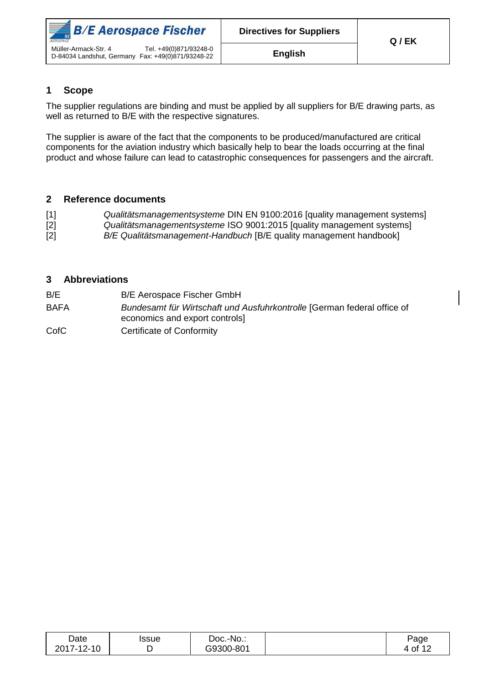

#### <span id="page-3-0"></span>**1 Scope**

The supplier regulations are binding and must be applied by all suppliers for B/E drawing parts, as well as returned to B/E with the respective signatures.

The supplier is aware of the fact that the components to be produced/manufactured are critical components for the aviation industry which basically help to bear the loads occurring at the final product and whose failure can lead to catastrophic consequences for passengers and the aircraft.

#### <span id="page-3-1"></span>**2 Reference documents**

| $[1]$ | Qualitätsmanagementsysteme DIN EN 9100:2016 [quality management systems] |
|-------|--------------------------------------------------------------------------|
| $[2]$ | Qualitätsmanagementsysteme ISO 9001:2015 [quality management systems]    |
| $[2]$ | B/E Qualitätsmanagement-Handbuch [B/E quality management handbook]       |

#### <span id="page-3-2"></span>**3 Abbreviations**

- B/E B/E Aerospace Fischer GmbH
- BAFA *Bundesamt für Wirtschaft und Ausfuhrkontrolle* [German federal office of economics and export controls]
- CofC Certificate of Conformity

| Date                                                      | Issue | Doc.-No.: | Page     |
|-----------------------------------------------------------|-------|-----------|----------|
| $2017 -$<br>$\overline{A}$ $\overline{C}$<br>ີ 12-<br>1 U |       | G9300-801 | ۰of<br>4 |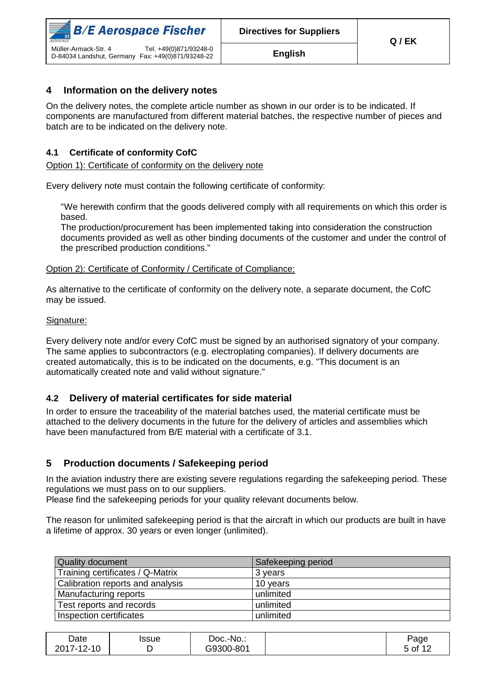

#### <span id="page-4-0"></span>**4 Information on the delivery notes**

On the delivery notes, the complete article number as shown in our order is to be indicated. If components are manufactured from different material batches, the respective number of pieces and batch are to be indicated on the delivery note.

#### <span id="page-4-1"></span>**4.1 Certificate of conformity CofC**

Option 1): Certificate of conformity on the delivery note

Every delivery note must contain the following certificate of conformity:

"We herewith confirm that the goods delivered comply with all requirements on which this order is based.

The production/procurement has been implemented taking into consideration the construction documents provided as well as other binding documents of the customer and under the control of the prescribed production conditions."

#### Option 2): Certificate of Conformity / Certificate of Compliance:

As alternative to the certificate of conformity on the delivery note, a separate document, the CofC may be issued.

#### Signature:

Every delivery note and/or every CofC must be signed by an authorised signatory of your company. The same applies to subcontractors (e.g. electroplating companies). If delivery documents are created automatically, this is to be indicated on the documents, e.g. "This document is an automatically created note and valid without signature."

#### <span id="page-4-2"></span>**4.2 Delivery of material certificates for side material**

In order to ensure the traceability of the material batches used, the material certificate must be attached to the delivery documents in the future for the delivery of articles and assemblies which have been manufactured from B/E material with a certificate of 3.1.

#### <span id="page-4-3"></span>**5 Production documents / Safekeeping period**

In the aviation industry there are existing severe regulations regarding the safekeeping period. These regulations we must pass on to our suppliers.

Please find the safekeeping periods for your quality relevant documents below.

The reason for unlimited safekeeping period is that the aircraft in which our products are built in have a lifetime of approx. 30 years or even longer (unlimited).

| <b>Quality document</b>          | Safekeeping period |
|----------------------------------|--------------------|
| Training certificates / Q-Matrix | 3 years            |
| Calibration reports and analysis | 10 years           |
| Manufacturing reports            | unlimited          |
| Test reports and records         | unlimited          |
| Inspection certificates          | unlimited          |

| Date       | Issue | Doc.-<br>-No.: | Page                |
|------------|-------|----------------|---------------------|
| 2017-12-10 |       | G9300-801      | ა of 1 <sup>~</sup> |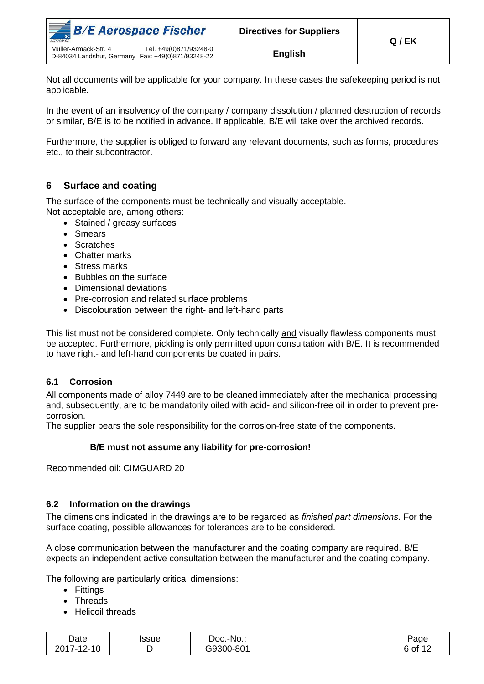| $\frac{1}{2}$ B/E Aerospace Fischer<br>AEROSPACE                                                    | <b>Directives for Suppliers</b> | Q / EK |
|-----------------------------------------------------------------------------------------------------|---------------------------------|--------|
| Tel. +49(0)871/93248-0<br>Müller-Armack-Str. 4<br>D-84034 Landshut, Germany Fax: +49(0)871/93248-22 | English                         |        |

Not all documents will be applicable for your company. In these cases the safekeeping period is not applicable.

In the event of an insolvency of the company / company dissolution / planned destruction of records or similar, B/E is to be notified in advance. If applicable, B/E will take over the archived records.

Furthermore, the supplier is obliged to forward any relevant documents, such as forms, procedures etc., to their subcontractor.

#### <span id="page-5-0"></span>**6 Surface and coating**

The surface of the components must be technically and visually acceptable. Not acceptable are, among others:

- Stained / greasy surfaces
- Smears
- Scratches
- Chatter marks
- Stress marks
- Bubbles on the surface
- Dimensional deviations
- Pre-corrosion and related surface problems
- Discolouration between the right- and left-hand parts

This list must not be considered complete. Only technically and visually flawless components must be accepted. Furthermore, pickling is only permitted upon consultation with B/E. It is recommended to have right- and left-hand components be coated in pairs.

#### <span id="page-5-1"></span>**6.1 Corrosion**

All components made of alloy 7449 are to be cleaned immediately after the mechanical processing and, subsequently, are to be mandatorily oiled with acid- and silicon-free oil in order to prevent precorrosion.

The supplier bears the sole responsibility for the corrosion-free state of the components.

#### **B/E must not assume any liability for pre-corrosion!**

Recommended oil: CIMGUARD 20

#### <span id="page-5-2"></span>**6.2 Information on the drawings**

The dimensions indicated in the drawings are to be regarded as *finished part dimensions*. For the surface coating, possible allowances for tolerances are to be considered.

A close communication between the manufacturer and the coating company are required. B/E expects an independent active consultation between the manufacturer and the coating company.

The following are particularly critical dimensions:

- Fittings
- Threads
- Helicoil threads

| Date       | ssue | Doc.-No.: | Page    |
|------------|------|-----------|---------|
| 2017-12-10 |      | G9300-801 | 6 of 12 |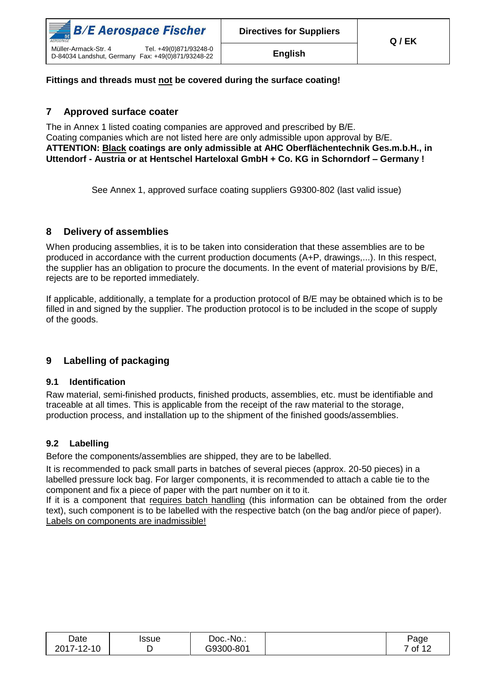

#### **Fittings and threads must not be covered during the surface coating!**

#### <span id="page-6-0"></span>**7 Approved surface coater**

The in Annex 1 listed coating companies are approved and prescribed by B/E. Coating companies which are not listed here are only admissible upon approval by B/E. **ATTENTION: Black coatings are only admissible at AHC Oberflächentechnik Ges.m.b.H., in Uttendorf - Austria or at Hentschel Harteloxal GmbH + Co. KG in Schorndorf – Germany !**

See Annex 1, approved surface coating suppliers G9300-802 (last valid issue)

#### <span id="page-6-1"></span>**8 Delivery of assemblies**

When producing assemblies, it is to be taken into consideration that these assemblies are to be produced in accordance with the current production documents (A+P, drawings,...). In this respect, the supplier has an obligation to procure the documents. In the event of material provisions by B/E, rejects are to be reported immediately.

If applicable, additionally, a template for a production protocol of B/E may be obtained which is to be filled in and signed by the supplier. The production protocol is to be included in the scope of supply of the goods.

#### <span id="page-6-2"></span>**9 Labelling of packaging**

#### <span id="page-6-3"></span>**9.1 Identification**

Raw material, semi-finished products, finished products, assemblies, etc. must be identifiable and traceable at all times. This is applicable from the receipt of the raw material to the storage, production process, and installation up to the shipment of the finished goods/assemblies.

#### <span id="page-6-4"></span>**9.2 Labelling**

Before the components/assemblies are shipped, they are to be labelled.

It is recommended to pack small parts in batches of several pieces (approx. 20-50 pieces) in a labelled pressure lock bag. For larger components, it is recommended to attach a cable tie to the component and fix a piece of paper with the part number on it to it.

If it is a component that requires batch handling (this information can be obtained from the order text), such component is to be labelled with the respective batch (on the bag and/or piece of paper). Labels on components are inadmissible!

| Date                 | ssue | ∵-No∴<br>Doc.- | Page                   |
|----------------------|------|----------------|------------------------|
| $2 - 10$<br>2017-12- |      | G9300-801      | $\prime$ of 1 $\prime$ |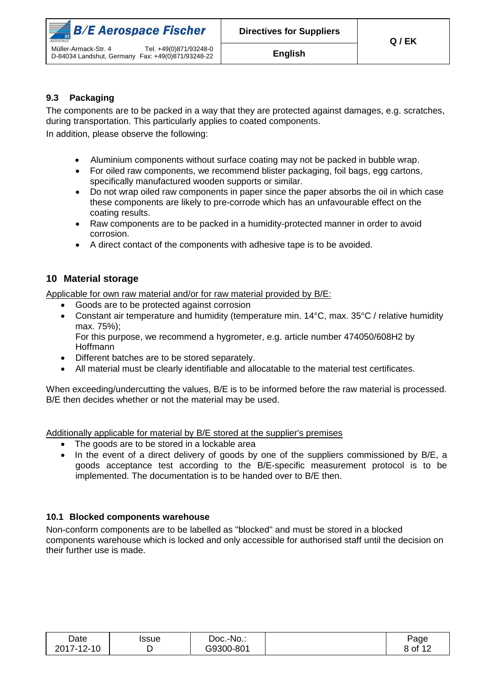

#### <span id="page-7-0"></span>**9.3 Packaging**

The components are to be packed in a way that they are protected against damages, e.g. scratches, during transportation. This particularly applies to coated components.

In addition, please observe the following:

- Aluminium components without surface coating may not be packed in bubble wrap.
- For oiled raw components, we recommend blister packaging, foil bags, egg cartons, specifically manufactured wooden supports or similar.
- Do not wrap oiled raw components in paper since the paper absorbs the oil in which case these components are likely to pre-corrode which has an unfavourable effect on the coating results.
- Raw components are to be packed in a humidity-protected manner in order to avoid corrosion.
- A direct contact of the components with adhesive tape is to be avoided.

#### <span id="page-7-1"></span>**10 Material storage**

Applicable for own raw material and/or for raw material provided by B/E:

- Goods are to be protected against corrosion
- Constant air temperature and humidity (temperature min. 14°C, max. 35°C / relative humidity max. 75%);

For this purpose, we recommend a hygrometer, e.g. article number 474050/608H2 by Hoffmann

- Different batches are to be stored separately.
- All material must be clearly identifiable and allocatable to the material test certificates.

When exceeding/undercutting the values, B/E is to be informed before the raw material is processed. B/E then decides whether or not the material may be used.

Additionally applicable for material by B/E stored at the supplier's premises

- The goods are to be stored in a lockable area
- In the event of a direct delivery of goods by one of the suppliers commissioned by B/E, a goods acceptance test according to the B/E-specific measurement protocol is to be implemented. The documentation is to be handed over to B/E then.

#### <span id="page-7-2"></span>**10.1 Blocked components warehouse**

Non-conform components are to be labelled as "blocked" and must be stored in a blocked components warehouse which is locked and only accessible for authorised staff until the decision on their further use is made.

| Date              | Issue | Doc.-No.: | Page    |
|-------------------|-------|-----------|---------|
| 2017-12-10<br>י ט |       | G9300-801 | 8 of 12 |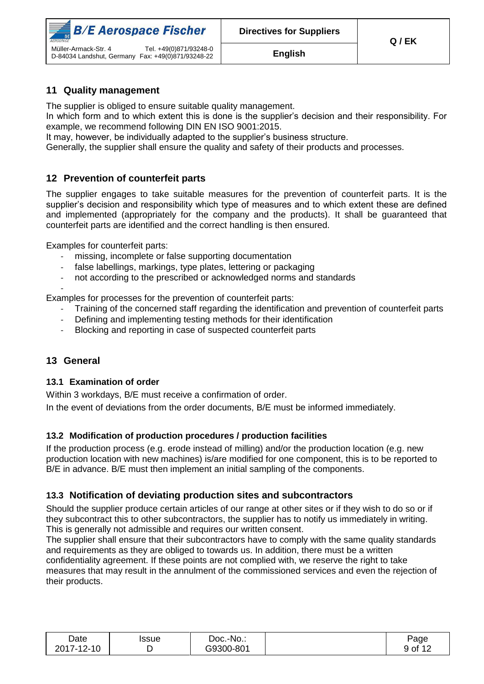

#### <span id="page-8-0"></span>**11 Quality management**

The supplier is obliged to ensure suitable quality management.

In which form and to which extent this is done is the supplier's decision and their responsibility. For example, we recommend following DIN EN ISO 9001:2015.

It may, however, be individually adapted to the supplier's business structure.

Generally, the supplier shall ensure the quality and safety of their products and processes.

#### <span id="page-8-1"></span>**12 Prevention of counterfeit parts**

The supplier engages to take suitable measures for the prevention of counterfeit parts. It is the supplier's decision and responsibility which type of measures and to which extent these are defined and implemented (appropriately for the company and the products). It shall be guaranteed that counterfeit parts are identified and the correct handling is then ensured.

Examples for counterfeit parts:

- missing, incomplete or false supporting documentation
- false labellings, markings, type plates, lettering or packaging
- not according to the prescribed or acknowledged norms and standards

- Examples for processes for the prevention of counterfeit parts:

- Training of the concerned staff regarding the identification and prevention of counterfeit parts
- Defining and implementing testing methods for their identification
- Blocking and reporting in case of suspected counterfeit parts

#### <span id="page-8-2"></span>**13 General**

#### <span id="page-8-3"></span>**13.1 Examination of order**

Within 3 workdays, B/E must receive a confirmation of order.

In the event of deviations from the order documents, B/E must be informed immediately.

#### <span id="page-8-4"></span>**13.2 Modification of production procedures / production facilities**

If the production process (e.g. erode instead of milling) and/or the production location (e.g. new production location with new machines) is/are modified for one component, this is to be reported to B/E in advance. B/E must then implement an initial sampling of the components.

#### <span id="page-8-5"></span>**13.3 Notification of deviating production sites and subcontractors**

Should the supplier produce certain articles of our range at other sites or if they wish to do so or if they subcontract this to other subcontractors, the supplier has to notify us immediately in writing. This is generally not admissible and requires our written consent.

The supplier shall ensure that their subcontractors have to comply with the same quality standards and requirements as they are obliged to towards us. In addition, there must be a written confidentiality agreement. If these points are not complied with, we reserve the right to take measures that may result in the annulment of the commissioned services and even the rejection of their products.

| Date       | Issue | Doc.-No.: | Page                         |
|------------|-------|-----------|------------------------------|
| 2017-12-10 |       | G9300-801 | $\rightarrow$ of 1 $\degree$ |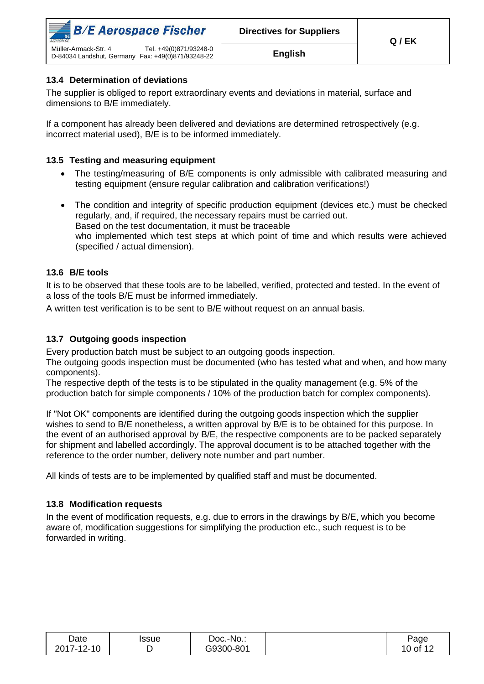

#### <span id="page-9-0"></span>**13.4 Determination of deviations**

The supplier is obliged to report extraordinary events and deviations in material, surface and dimensions to B/E immediately.

If a component has already been delivered and deviations are determined retrospectively (e.g. incorrect material used), B/E is to be informed immediately.

#### <span id="page-9-1"></span>**13.5 Testing and measuring equipment**

- The testing/measuring of B/E components is only admissible with calibrated measuring and testing equipment (ensure regular calibration and calibration verifications!)
- The condition and integrity of specific production equipment (devices etc.) must be checked regularly, and, if required, the necessary repairs must be carried out. Based on the test documentation, it must be traceable who implemented which test steps at which point of time and which results were achieved (specified / actual dimension).

#### <span id="page-9-2"></span>**13.6 B/E tools**

It is to be observed that these tools are to be labelled, verified, protected and tested. In the event of a loss of the tools B/E must be informed immediately.

A written test verification is to be sent to B/E without request on an annual basis.

#### <span id="page-9-3"></span>**13.7 Outgoing goods inspection**

Every production batch must be subject to an outgoing goods inspection.

The outgoing goods inspection must be documented (who has tested what and when, and how many components).

The respective depth of the tests is to be stipulated in the quality management (e.g. 5% of the production batch for simple components / 10% of the production batch for complex components).

If "Not OK" components are identified during the outgoing goods inspection which the supplier wishes to send to B/E nonetheless, a written approval by B/E is to be obtained for this purpose. In the event of an authorised approval by B/E, the respective components are to be packed separately for shipment and labelled accordingly. The approval document is to be attached together with the reference to the order number, delivery note number and part number.

All kinds of tests are to be implemented by qualified staff and must be documented.

#### <span id="page-9-4"></span>**13.8 Modification requests**

In the event of modification requests, e.g. due to errors in the drawings by B/E, which you become aware of, modification suggestions for simplifying the production etc., such request is to be forwarded in writing.

| Date       | Issue | Doc.-No.: | Page              |
|------------|-------|-----------|-------------------|
| 2017-12-10 |       | G9300-801 | 10 of 1 $\degree$ |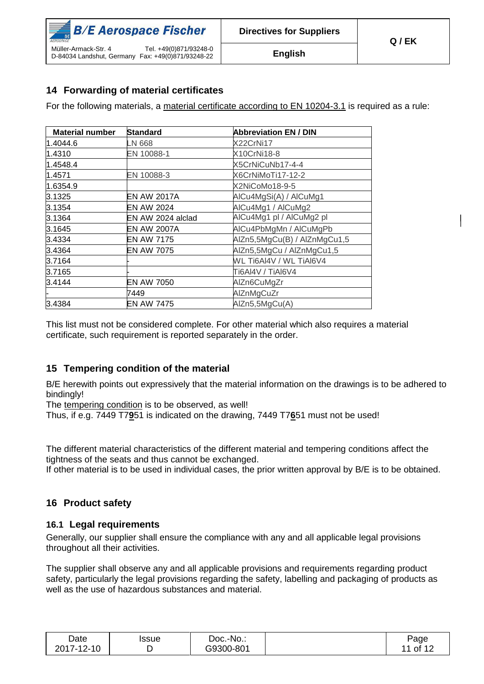| $\mathbb{R}$ B/E Aerospace Fischer<br>AEROSPACE                                                     | <b>Directives for Suppliers</b> | Q/EK |
|-----------------------------------------------------------------------------------------------------|---------------------------------|------|
| Tel. +49(0)871/93248-0<br>Müller-Armack-Str. 4<br>D-84034 Landshut, Germany Fax: +49(0)871/93248-22 | <b>English</b>                  |      |

### <span id="page-10-0"></span>**14 Forwarding of material certificates**

For the following materials, a material certificate according to EN 10204-3.1 is required as a rule:

| <b>Material number</b> | Standard           | <b>Abbreviation EN / DIN</b> |
|------------------------|--------------------|------------------------------|
| 1.4044.6               | LN 668             | X22CrNi17                    |
| 1.4310                 | EN 10088-1         | X10CrNi18-8                  |
| 1.4548.4               |                    | X5CrNiCuNb17-4-4             |
| 1.4571                 | EN 10088-3         | X6CrNiMoTi17-12-2            |
| 1.6354.9               |                    | X2NiCoMo18-9-5               |
| 3.1325                 | EN AW 2017A        | AlCu4MgSi(A) / AlCuMg1       |
| 3.1354                 | <b>EN AW 2024</b>  | AlCu4Mg1 / AlCuMg2           |
| 3.1364                 | EN AW 2024 alclad  | AlCu4Mg1 pl / AlCuMg2 pl     |
| 3.1645                 | <b>EN AW 2007A</b> | AICu4PbMgMn / AICuMgPb       |
| 3.4334                 | <b>EN AW 7175</b>  | AlZn5,5MgCu(B) / AlZnMgCu1,5 |
| 3.4364                 | EN AW 7075         | AlZn5,5MgCu / AlZnMgCu1,5    |
| 3.7164                 |                    | WL Ti6AI4V / WL TiAI6V4      |
| 3.7165                 |                    | Ti6AI4V / TiAI6V4            |
| 3.4144                 | EN AW 7050         | AlZn6CuMgZr                  |
|                        | 7449               | AlZnMgCuZr                   |
| 3.4384                 | <b>EN AW 7475</b>  | AlZn5,5MgCu(A)               |

This list must not be considered complete. For other material which also requires a material certificate, such requirement is reported separately in the order.

#### <span id="page-10-1"></span>**15 Tempering condition of the material**

B/E herewith points out expressively that the material information on the drawings is to be adhered to bindingly!

The tempering condition is to be observed, as well!

Thus, if e.g. 7449 T7**9**51 is indicated on the drawing, 7449 T7**6**51 must not be used!

The different material characteristics of the different material and tempering conditions affect the tightness of the seats and thus cannot be exchanged.

If other material is to be used in individual cases, the prior written approval by B/E is to be obtained.

#### <span id="page-10-2"></span>**16 Product safety**

#### <span id="page-10-3"></span>**16.1 Legal requirements**

Generally, our supplier shall ensure the compliance with any and all applicable legal provisions throughout all their activities.

The supplier shall observe any and all applicable provisions and requirements regarding product safety, particularly the legal provisions regarding the safety, labelling and packaging of products as well as the use of hazardous substances and material.

| Date       | Issue | Doc.-No.: | Page                |
|------------|-------|-----------|---------------------|
| 2017-12-10 |       | G9300-801 | $.1$ of $1^{\circ}$ |